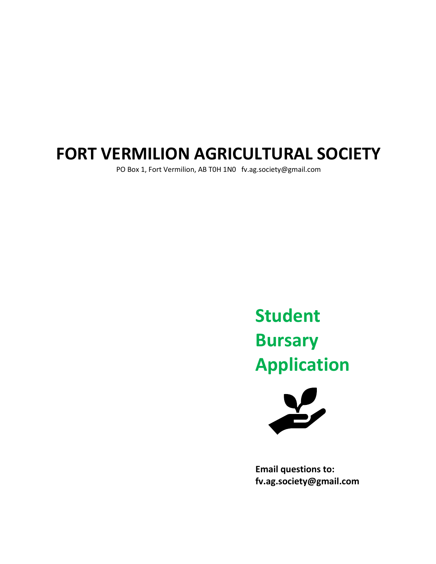## **FORT VERMILION AGRICULTURAL SOCIETY**

PO Box 1, Fort Vermilion, AB T0H 1N0 fv.ag.society@gmail.com

# **Student Bursary Application**



**Email questions to: fv.ag.society@gmail.com**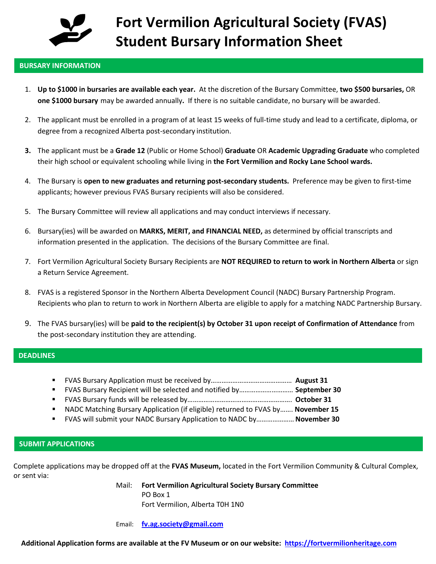

#### **BURSARY INFORMATION**

- 1. **Up to \$1000 in bursaries are available each year.** At the discretion of the Bursary Committee, **two \$500 bursaries,** OR **one \$1000 bursary** may be awarded annually**.** If there is no suitable candidate, no bursary will be awarded.
- 2. The applicant must be enrolled in a program of at least 15 weeks of full-time study and lead to a certificate, diploma, or degree from a recognized Alberta post-secondary institution.
- **3.** The applicant must be a **Grade 12** (Public or Home School) **Graduate** OR **Academic Upgrading Graduate** who completed their high school or equivalent schooling while living in **the Fort Vermilion and Rocky Lane School wards.**
- 4. The Bursary is **open to new graduates and returning post-secondary students.** Preference may be given to first-time applicants; however previous FVAS Bursary recipients will also be considered.
- 5. The Bursary Committee will review all applications and may conduct interviews if necessary.
- 6. Bursary(ies) will be awarded on **MARKS, MERIT, and FINANCIAL NEED,** as determined by official transcripts and information presented in the application. The decisions of the Bursary Committee are final.
- 7. Fort Vermilion Agricultural Society Bursary Recipients are **NOT REQUIRED to return to work in Northern Alberta** or sign a Return Service Agreement.
- 8. FVAS is a registered Sponsor in the Northern Alberta Development Council (NADC) Bursary Partnership Program. Recipients who plan to return to work in Northern Alberta are eligible to apply for a matching NADC Partnership Bursary.
- 9. The FVAS bursary(ies) will be **paid to the recipient(s) by October 31 upon receipt of Confirmation of Attendance** from the post-secondary institution they are attending.

#### **DEADLINES**

- FVAS Bursary Application must be received by……………………………………… **August 31**
- FVAS Bursary Recipient will be selected and notified by………………………… **September 30**
- FVAS Bursary funds will be released by…………………………………………………. **October 31**
- NADC Matching Bursary Application (if eligible) returned to FVAS by……. **November 15**
- FVAS will submit your NADC Bursary Application to NADC by…………………**November 30**

#### **SUBMIT APPLICATIONS**

Complete applications may be dropped off at the **FVAS Museum,** located in the Fort Vermilion Community & Cultural Complex, or sent via:

> Mail: **Fort Vermilion Agricultural Society Bursary Committee** PO Box 1 Fort Vermilion, Alberta T0H 1N0

Email: **[fv.ag.society@gmail.com](mailto:fv.ag.society@gmail.com)**

**Additional Application forms are available at the FV Museum or on our website: [https://fortvermilionheritage.com](https://fortvermilionheritage.com/)**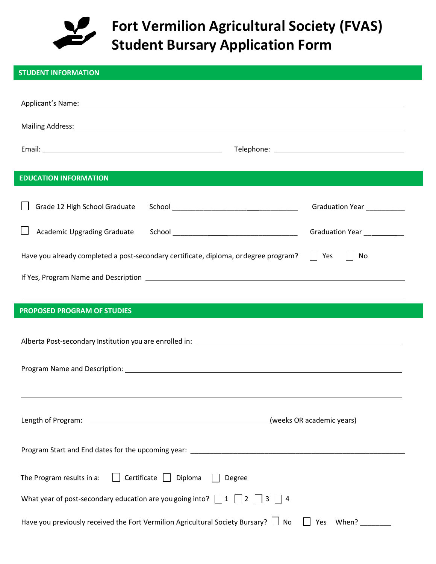

## **Fort Vermilion Agricultural Society (FVAS) Student Bursary Application Form**

| <b>STUDENT INFORMATION</b>                                                                                                                                                                                                     |
|--------------------------------------------------------------------------------------------------------------------------------------------------------------------------------------------------------------------------------|
| Applicant's Name: Name: 2008 2014 2022 2023 2024 2024 2022 2023 2024 2022 2023 2024 2022 2023 2024 2022 2023 20                                                                                                                |
| Mailing Address: National Address: National Address of the Contract of the Contract of the Contract of the Contract of the Contract of the Contract of the Contract of the Contract of the Contract of the Contract of the Con |
|                                                                                                                                                                                                                                |
| <b>EDUCATION INFORMATION</b>                                                                                                                                                                                                   |
| Grade 12 High School Graduate<br>Graduation Year _________                                                                                                                                                                     |
| <b>Academic Upgrading Graduate</b><br>Graduation Year  ___________                                                                                                                                                             |
| Have you already completed a post-secondary certificate, diploma, or degree program?<br>$\vert$   Yes<br>No                                                                                                                    |
|                                                                                                                                                                                                                                |
|                                                                                                                                                                                                                                |
|                                                                                                                                                                                                                                |
| <b>PROPOSED PROGRAM OF STUDIES</b>                                                                                                                                                                                             |
| Alberta Post-secondary Institution you are enrolled in: National Communication of the Communication of the Communication of the Communication of the Communication of the Communication of the Communication of the Communicat |
|                                                                                                                                                                                                                                |
|                                                                                                                                                                                                                                |
|                                                                                                                                                                                                                                |
| Length of Program:<br><u> 1989 - Johann Barn, fransk politik amerikansk politik (</u><br>(weeks OR academic years)                                                                                                             |
|                                                                                                                                                                                                                                |
| Certificate<br>The Program results in a:<br>Diploma<br>Degree                                                                                                                                                                  |
| What year of post-secondary education are you going into? $\Box$ 1 2<br>$\vert$ 3<br>$\vert$ 4                                                                                                                                 |